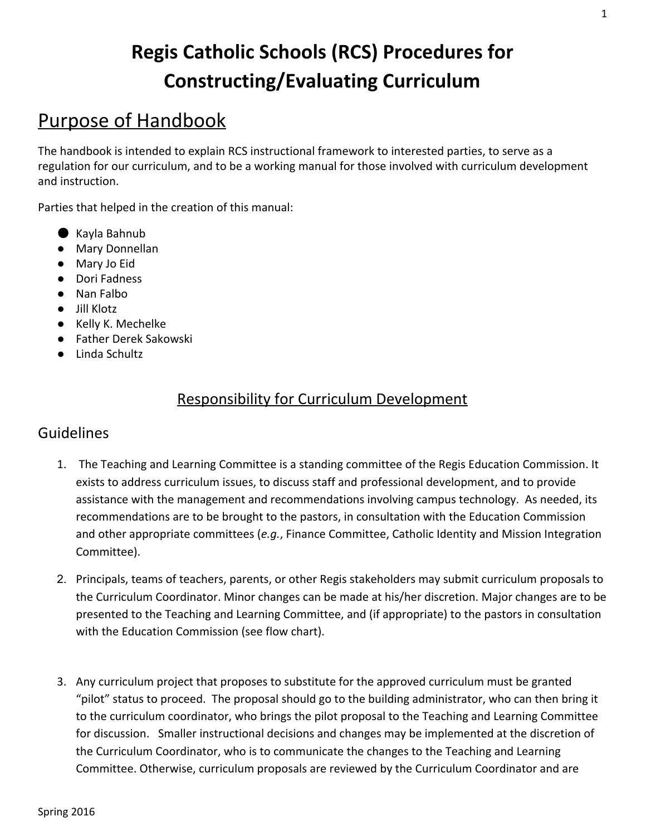# **Regis Catholic Schools (RCS) Procedures for Constructing/Evaluating Curriculum**

# Purpose of Handbook

The handbook is intended to explain RCS instructional framework to interested parties, to serve as a regulation for our curriculum, and to be a working manual for those involved with curriculum development and instruction.

Parties that helped in the creation of this manual:

- Kayla Bahnub
- Mary Donnellan
- Mary Jo Eid
- Dori Fadness
- Nan Falbo
- Jill Klotz
- Kelly K. Mechelke
- Father Derek Sakowski
- Linda Schultz

## Responsibility for Curriculum Development

#### Guidelines

- 1. The Teaching and Learning Committee is a standing committee of the Regis Education Commission. It exists to address curriculum issues, to discuss staff and professional development, and to provide assistance with the management and recommendations involving campus technology. As needed, its recommendations are to be brought to the pastors, in consultation with the Education Commission and other appropriate committees (*e.g.*, Finance Committee, Catholic Identity and Mission Integration Committee).
- 2. Principals, teams of teachers, parents, or other Regis stakeholders may submit curriculum proposals to the Curriculum Coordinator. Minor changes can be made at his/her discretion. Major changes are to be presented to the Teaching and Learning Committee, and (if appropriate) to the pastors in consultation with the Education Commission (see flow chart).
- 3. Any curriculum project that proposes to substitute for the approved curriculum must be granted "pilot" status to proceed. The proposal should go to the building administrator, who can then bring it to the curriculum coordinator, who brings the pilot proposal to the Teaching and Learning Committee for discussion. Smaller instructional decisions and changes may be implemented at the discretion of the Curriculum Coordinator, who is to communicate the changes to the Teaching and Learning Committee. Otherwise, curriculum proposals are reviewed by the Curriculum Coordinator and are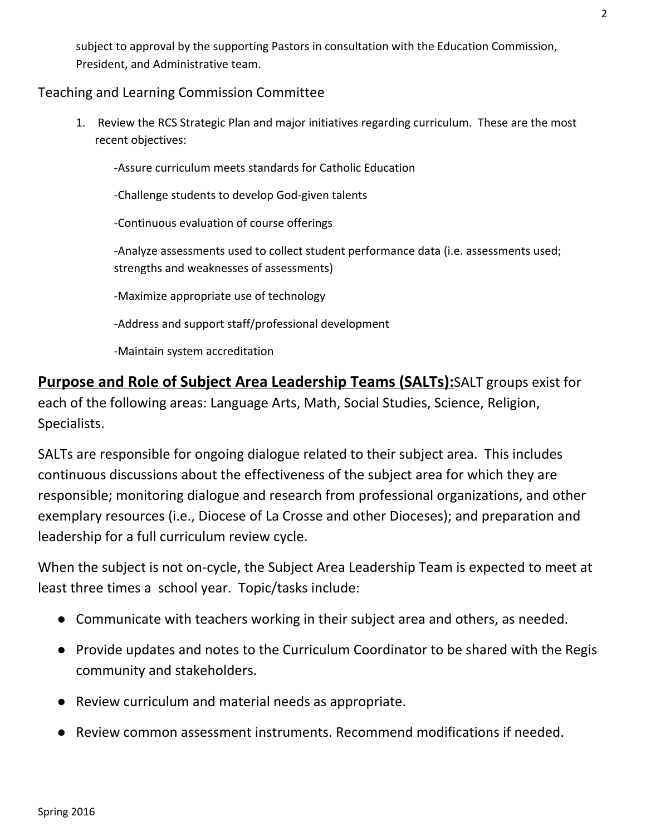subject to approval by the supporting Pastors in consultation with the Education Commission, President, and Administrative team.

#### Teaching and Learning Commission Committee

1. Review the RCS Strategic Plan and major initiatives regarding curriculum. These are the most recent objectives:

Assure curriculum meets standards for Catholic Education

-Challenge students to develop God-given talents

Continuous evaluation of course offerings

Analyze assessments used to collect student performance data (i.e. assessments used; strengths and weaknesses of assessments)

Maximize appropriate use of technology

Address and support staff/professional development

Maintain system accreditation

**Purpose and Role of Subject Area Leadership Teams (SALTs):**SALT groups exist for each of the following areas: Language Arts, Math, Social Studies, Science, Religion, Specialists.

SALTs are responsible for ongoing dialogue related to their subject area. This includes continuous discussions about the effectiveness of the subject area for which they are responsible; monitoring dialogue and research from professional organizations, and other exemplary resources (i.e., Diocese of La Crosse and other Dioceses); and preparation and leadership for a full curriculum review cycle.

When the subject is not on-cycle, the Subject Area Leadership Team is expected to meet at least three times a school year. Topic/tasks include:

- Communicate with teachers working in their subject area and others, as needed.
- Provide updates and notes to the Curriculum Coordinator to be shared with the Regis community and stakeholders.
- Review curriculum and material needs as appropriate.
- Review common assessment instruments. Recommend modifications if needed.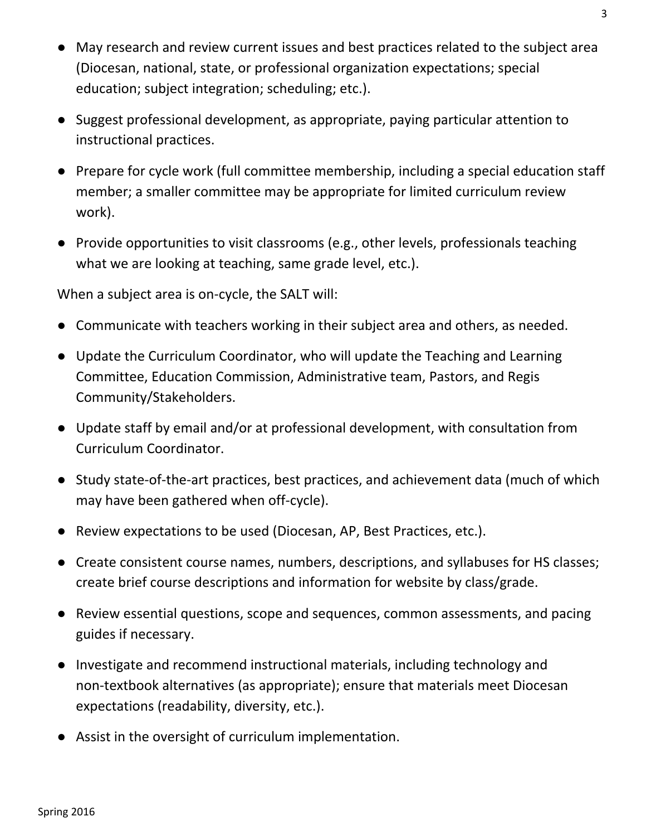- May research and review current issues and best practices related to the subject area (Diocesan, national, state, or professional organization expectations; special education; subject integration; scheduling; etc.).
- Suggest professional development, as appropriate, paying particular attention to instructional practices.
- Prepare for cycle work (full committee membership, including a special education staff member; a smaller committee may be appropriate for limited curriculum review work).
- Provide opportunities to visit classrooms (e.g., other levels, professionals teaching what we are looking at teaching, same grade level, etc.).

When a subject area is on-cycle, the SALT will:

- Communicate with teachers working in their subject area and others, as needed.
- Update the Curriculum Coordinator, who will update the Teaching and Learning Committee, Education Commission, Administrative team, Pastors, and Regis Community/Stakeholders.
- Update staff by email and/or at professional development, with consultation from Curriculum Coordinator.
- Study state-of-the-art practices, best practices, and achievement data (much of which may have been gathered when off-cycle).
- Review expectations to be used (Diocesan, AP, Best Practices, etc.).
- Create consistent course names, numbers, descriptions, and syllabuses for HS classes; create brief course descriptions and information for website by class/grade.
- Review essential questions, scope and sequences, common assessments, and pacing guides if necessary.
- Investigate and recommend instructional materials, including technology and non-textbook alternatives (as appropriate); ensure that materials meet Diocesan expectations (readability, diversity, etc.).
- Assist in the oversight of curriculum implementation.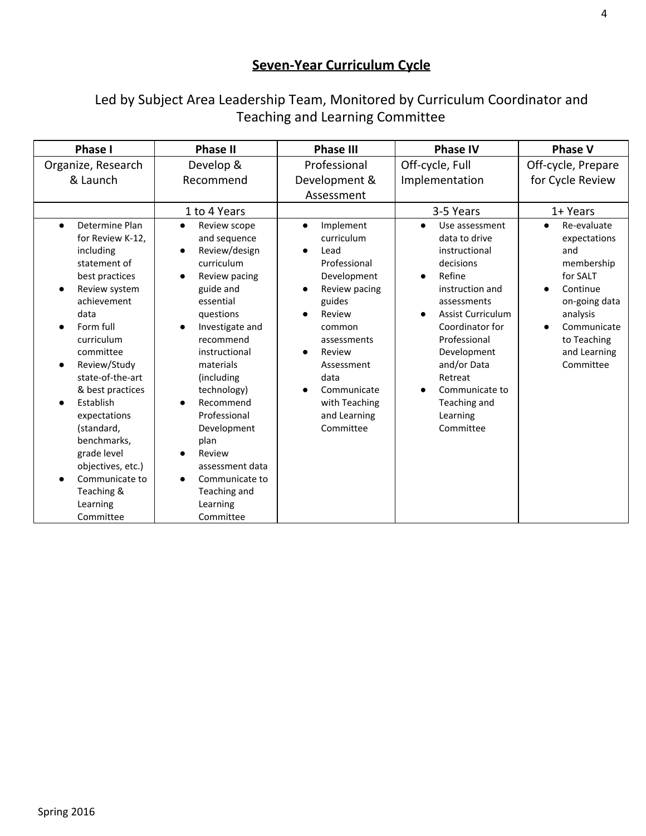# **Seven-Year Curriculum Cycle**

## Led by Subject Area Leadership Team, Monitored by Curriculum Coordinator and Teaching and Learning Committee

| <b>Phase I</b>                                                                                                                                                                                                                                                                                                                                                                                                                                                 | <b>Phase II</b>                                                                                                                                                                                                                                                                                                                                                          | <b>Phase III</b>                                                                                                                                                                                                                       | <b>Phase IV</b>                                                                                                                                                                                                                                                                           | <b>Phase V</b>                                                                                                                                                                                          |
|----------------------------------------------------------------------------------------------------------------------------------------------------------------------------------------------------------------------------------------------------------------------------------------------------------------------------------------------------------------------------------------------------------------------------------------------------------------|--------------------------------------------------------------------------------------------------------------------------------------------------------------------------------------------------------------------------------------------------------------------------------------------------------------------------------------------------------------------------|----------------------------------------------------------------------------------------------------------------------------------------------------------------------------------------------------------------------------------------|-------------------------------------------------------------------------------------------------------------------------------------------------------------------------------------------------------------------------------------------------------------------------------------------|---------------------------------------------------------------------------------------------------------------------------------------------------------------------------------------------------------|
| Organize, Research<br>& Launch                                                                                                                                                                                                                                                                                                                                                                                                                                 | Develop &<br>Recommend                                                                                                                                                                                                                                                                                                                                                   | Professional<br>Development &<br>Assessment                                                                                                                                                                                            | Off-cycle, Full<br>Implementation                                                                                                                                                                                                                                                         | Off-cycle, Prepare<br>for Cycle Review                                                                                                                                                                  |
|                                                                                                                                                                                                                                                                                                                                                                                                                                                                | 1 to 4 Years                                                                                                                                                                                                                                                                                                                                                             |                                                                                                                                                                                                                                        | 3-5 Years                                                                                                                                                                                                                                                                                 | 1+ Years                                                                                                                                                                                                |
| Determine Plan<br>$\bullet$<br>for Review K-12,<br>including<br>statement of<br>best practices<br>Review system<br>$\bullet$<br>achievement<br>data<br>Form full<br>$\bullet$<br>curriculum<br>committee<br>Review/Study<br>$\bullet$<br>state-of-the-art<br>& best practices<br>Establish<br>$\bullet$<br>expectations<br>(standard,<br>benchmarks,<br>grade level<br>objectives, etc.)<br>Communicate to<br>$\bullet$<br>Teaching &<br>Learning<br>Committee | Review scope<br>$\bullet$<br>and sequence<br>Review/design<br>curriculum<br>Review pacing<br>guide and<br>essential<br>questions<br>Investigate and<br>recommend<br>instructional<br>materials<br>(including)<br>technology)<br>Recommend<br>Professional<br>Development<br>plan<br>Review<br>assessment data<br>Communicate to<br>Teaching and<br>Learning<br>Committee | Implement<br>$\bullet$<br>curriculum<br>Lead<br>Professional<br>Development<br>Review pacing<br>guides<br>Review<br>common<br>assessments<br>Review<br>Assessment<br>data<br>Communicate<br>with Teaching<br>and Learning<br>Committee | Use assessment<br>$\bullet$<br>data to drive<br>instructional<br>decisions<br>Refine<br>instruction and<br>assessments<br><b>Assist Curriculum</b><br>Coordinator for<br>Professional<br>Development<br>and/or Data<br>Retreat<br>Communicate to<br>Teaching and<br>Learning<br>Committee | Re-evaluate<br>$\bullet$<br>expectations<br>and<br>membership<br>for SALT<br>Continue<br>$\bullet$<br>on-going data<br>analysis<br>Communicate<br>$\bullet$<br>to Teaching<br>and Learning<br>Committee |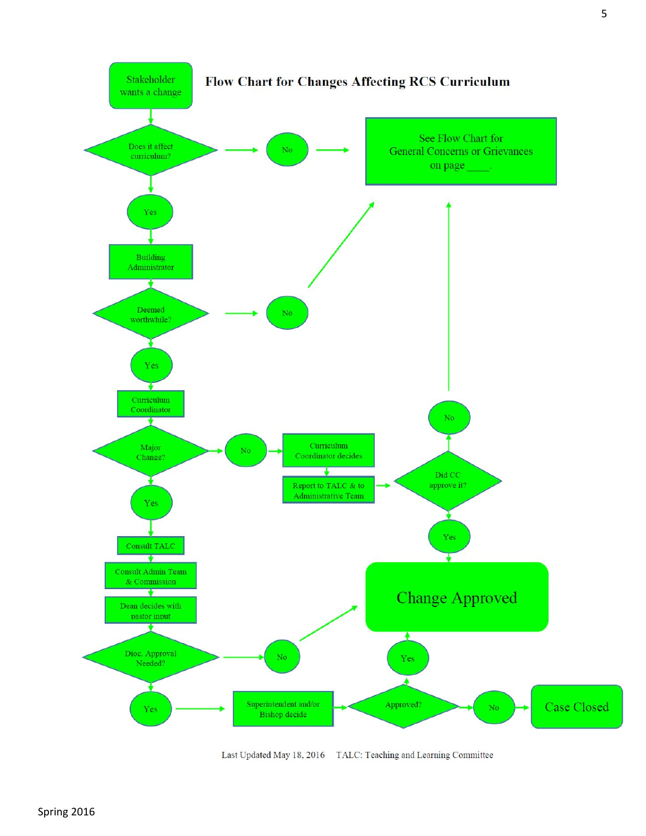

Last Updated May 18, 2016 TALC: Teaching and Learning Committee

Spring 2016